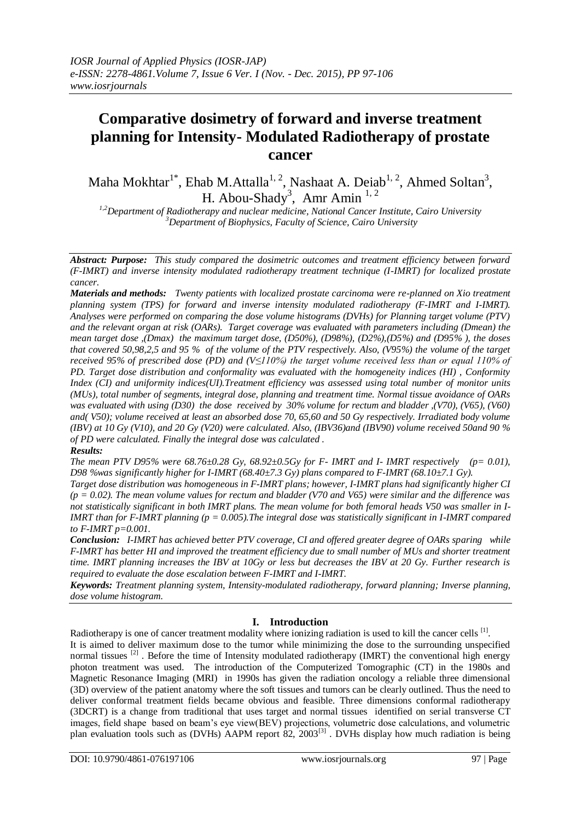# **Comparative dosimetry of forward and inverse treatment planning for Intensity- Modulated Radiotherapy of prostate cancer**

Maha Mokhtar<sup>1\*</sup>, Ehab M.Attalla<sup>1, 2</sup>, Nashaat A. Deiab<sup>1, 2</sup>, Ahmed Soltan<sup>3</sup>, H. Abou-Shady<sup>3</sup>, Amr Amin<sup>1,2</sup>

*1,2Department of Radiotherapy and nuclear medicine, National Cancer Institute, Cairo University <sup>3</sup>Department of Biophysics, Faculty of Science, Cairo University*

*Abstract: Purpose: This study compared the dosimetric outcomes and treatment efficiency between forward (F-IMRT) and inverse intensity modulated radiotherapy treatment technique (I-IMRT) for localized prostate cancer.*

*Materials and methods: Twenty patients with localized prostate carcinoma were re-planned on Xio treatment planning system (TPS) for forward and inverse intensity modulated radiotherapy (F-IMRT and I-IMRT). Analyses were performed on comparing the dose volume histograms (DVHs) for Planning target volume (PTV) and the relevant organ at risk (OARs). Target coverage was evaluated with parameters including (Dmean) the mean target dose ,(Dmax) the maximum target dose, (D50%), (D98%), (D2%),(D5%) and (D95% ), the doses that covered 50,98,2,5 and 95 % of the volume of the PTV respectively. Also, (V95%) the volume of the target received 95% of prescribed dose (PD) and (V≤110%) the target volume received less than or equal 110% of PD. Target dose distribution and conformality was evaluated with the homogeneity indices (HI) , Conformity Index (CI) and uniformity indices(UI).Treatment efficiency was assessed using total number of monitor units (MUs), total number of segments, integral dose, planning and treatment time. Normal tissue avoidance of OARs was evaluated with using (D30) the dose received by 30% volume for rectum and bladder ,(V70), (V65), (V60) and( V50); volume received at least an absorbed dose 70, 65,60 and 50 Gy respectively. Irradiated body volume (IBV) at 10 Gy (V10), and 20 Gy (V20) were calculated. Also, (IBV36)and (IBV90) volume received 50and 90 % of PD were calculated. Finally the integral dose was calculated .* 

# *Results:*

*The mean PTV D95% were 68.76±0.28 Gy, 68.92±0.5Gy for F- IMRT and I- IMRT respectively (p= 0.01), D98 %was significantly higher for I-IMRT (68.40±7.3 Gy) plans compared to F-IMRT (68.10±7.1 Gy).*

*Target dose distribution was homogeneous in F-IMRT plans; however, I-IMRT plans had significantly higher CI (p = 0.02). The mean volume values for rectum and bladder (V70 and V65) were similar and the difference was not statistically significant in both IMRT plans. The mean volume for both femoral heads V50 was smaller in I-IMRT than for F-IMRT planning (p = 0.005).The integral dose was statistically significant in I-IMRT compared to F-IMRT p=0.001.*

*Conclusion: I-IMRT has achieved better PTV coverage, CI and offered greater degree of OARs sparing while F-IMRT has better HI and improved the treatment efficiency due to small number of MUs and shorter treatment time. IMRT planning increases the IBV at 10Gy or less but decreases the IBV at 20 Gy. Further research is required to evaluate the dose escalation between F-IMRT and I-IMRT.*

*Keywords: Treatment planning system, Intensity-modulated radiotherapy, forward planning; Inverse planning, dose volume histogram.*

# **I. Introduction**

Radiotherapy is one of cancer treatment modality where ionizing radiation is used to kill the cancer cells <sup>[1]</sup>. It is aimed to deliver maximum dose to the tumor while minimizing the dose to the surrounding unspecified normal tissues [2]. Before the time of Intensity modulated radiotherapy (IMRT) the conventional high energy photon treatment was used. The introduction of the Computerized Tomographic (CT) in the 1980s and Magnetic Resonance Imaging (MRI) in 1990s has given the radiation oncology a reliable three dimensional (3D) overview of the patient anatomy where the soft tissues and tumors can be clearly outlined. Thus the need to deliver conformal treatment fields became obvious and feasible. Three dimensions conformal radiotherapy (3DCRT) is a change from traditional that uses target and normal tissues identified on serial transverse CT images, field shape based on beam's eye view(BEV) projections, volumetric dose calculations, and volumetric plan evaluation tools such as (DVHs) AAPM report 82, 2003<sup>[3]</sup>. DVHs display how much radiation is being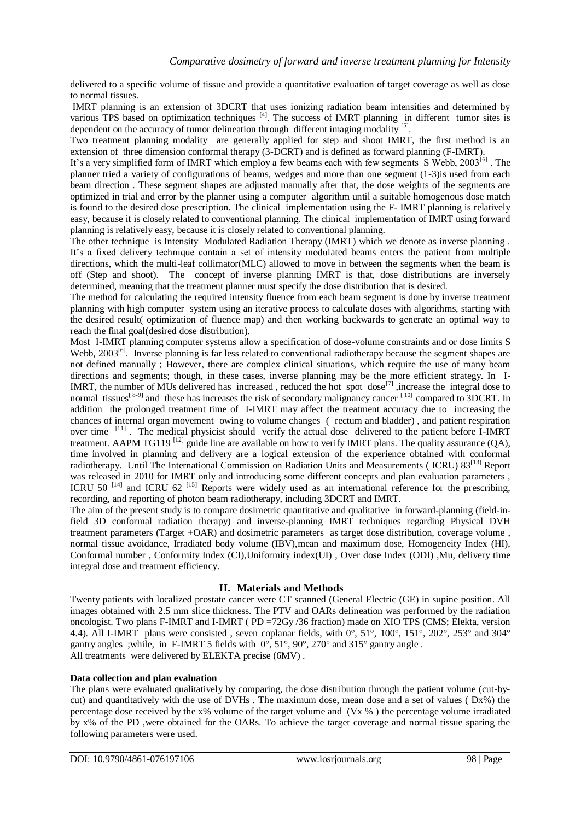delivered to a specific volume of tissue and provide a quantitative evaluation of target coverage as well as dose to normal tissues.

IMRT planning is an extension of 3DCRT that uses ionizing radiation beam intensities and determined by various TPS based on optimization techniques  $\left|^{4}\right|$ . The success of IMRT planning in different tumor sites is dependent on the accuracy of tumor delineation through different imaging modality [5].

Two treatment planning modality are generally applied for step and shoot IMRT, the first method is an extension of three dimension conformal therapy (3-DCRT) and is defined as forward planning (F-IMRT).

It's a very simplified form of IMRT which employ a few beams each with few segments S Webb, 2003<sup>[6]</sup>. The planner tried a variety of configurations of beams, wedges and more than one segment (1-3)is used from each beam direction . These segment shapes are adjusted manually after that, the dose weights of the segments are optimized in trial and error by the planner using a computer algorithm until a suitable homogenous dose match is found to the desired dose prescription. The clinical implementation using the F- IMRT planning is relatively easy, because it is closely related to conventional planning. The clinical implementation of IMRT using forward planning is relatively easy, because it is closely related to conventional planning.

The other technique is Intensity Modulated Radiation Therapy (IMRT) which we denote as inverse planning . It's a fixed delivery technique contain a set of intensity modulated beams enters the patient from multiple directions, which the multi-leaf collimator(MLC) allowed to move in between the segments when the beam is off (Step and shoot). The concept of inverse planning IMRT is that, dose distributions are inversely determined, meaning that the treatment planner must specify the dose distribution that is desired.

The method for calculating the required intensity fluence from each beam segment is done by inverse treatment planning with high computer system using an iterative process to calculate doses with algorithms, starting with the desired result( optimization of fluence map) and then working backwards to generate an optimal way to reach the final goal(desired dose distribution).

Most I-IMRT planning computer systems allow a specification of dose-volume constraints and or dose limits S Webb, 2003<sup>[6]</sup>. Inverse planning is far less related to conventional radiotherapy because the segment shapes are not defined manually ; However, there are complex clinical situations, which require the use of many beam directions and segments; though, in these cases, inverse planning may be the more efficient strategy. In I-IMRT, the number of MUs delivered has increased, reduced the hot spot dose $^{[7]}$ , increase the integral dose to normal tissues<sup>[8-9]</sup> and these has increases the risk of secondary malignancy cancer <sup>[10]</sup> compared to 3DCRT. In addition the prolonged treatment time of I-IMRT may affect the treatment accuracy due to increasing the chances of internal organ movement owing to volume changes ( rectum and bladder) , and patient respiration over time <sup>[11]</sup>. The medical physicist should verify the actual dose delivered to the patient before I-IMRT treatment. AAPM TG119<sup>[12]</sup> guide line are available on how to verify IMRT plans. The quality assurance (QA), time involved in planning and delivery are a logical extension of the experience obtained with conformal radiotherapy. Until The International Commission on Radiation Units and Measurements (ICRU) 83<sup>[13]</sup> Report was released in 2010 for IMRT only and introducing some different concepts and plan evaluation parameters , ICRU 50<sup>[14]</sup> and ICRU 62<sup>[15]</sup> Reports were widely used as an international reference for the prescribing, recording, and reporting of photon beam radiotherapy, including 3DCRT and IMRT.

The aim of the present study is to compare dosimetric quantitative and qualitative in forward-planning (field-infield 3D conformal radiation therapy) and inverse-planning IMRT techniques regarding Physical DVH treatment parameters (Target +OAR) and dosimetric parameters as target dose distribution, coverage volume , normal tissue avoidance, Irradiated body volume (IBV),mean and maximum dose, Homogeneity Index (HI), Conformal number , Conformity Index (CI),Uniformity index(UI) , Over dose Index (ODI) ,Mu, delivery time integral dose and treatment efficiency.

# **II. Materials and Methods**

Twenty patients with localized prostate cancer were CT scanned (General Electric (GE) in supine position. All images obtained with 2.5 mm slice thickness. The PTV and OARs delineation was performed by the radiation oncologist. Two plans F-IMRT and I-IMRT ( PD =72Gy /36 fraction) made on XIO TPS (CMS; Elekta, version 4.4). All I-IMRT plans were consisted , seven coplanar fields, with 0°, 51°, 100°, 151°, 202°, 253° and 304° gantry angles ;while, in F-IMRT 5 fields with 0°, 51°, 90°, 270° and 315° gantry angle . All treatments were delivered by ELEKTA precise (6MV) .

# **Data collection and plan evaluation**

The plans were evaluated qualitatively by comparing, the dose distribution through the patient volume (cut-bycut) and quantitatively with the use of DVHs . The maximum dose, mean dose and a set of values ( Dx%) the percentage dose received by the x% volume of the target volume and (Vx % ) the percentage volume irradiated by x% of the PD ,were obtained for the OARs. To achieve the target coverage and normal tissue sparing the following parameters were used.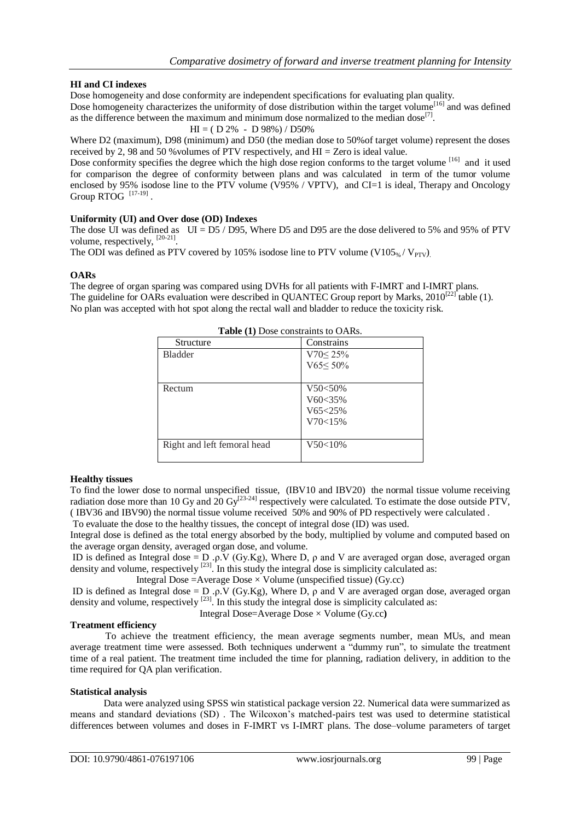# **HI and CI indexes**

Dose homogeneity and dose conformity are independent specifications for evaluating plan quality.

Dose homogeneity characterizes the uniformity of dose distribution within the target volume<sup>[16]</sup> and was defined as the difference between the maximum and minimum dose normalized to the median dose<sup>[7]</sup>.

 $HI = ( D 2\% - D 98\%) / D50\%$ 

Where D2 (maximum), D98 (minimum) and D50 (the median dose to 50%of target volume) represent the doses received by 2, 98 and 50 %volumes of PTV respectively, and HI = Zero is ideal value.

Dose conformity specifies the degree which the high dose region conforms to the target volume [16] and it used for comparison the degree of conformity between plans and was calculated in term of the tumor volume enclosed by 95% isodose line to the PTV volume (V95% / VPTV), and CI=1 is ideal, Therapy and Oncology Group  $RTOG$ <sup>[17-19]</sup>.

## **Uniformity (UI) and Over dose (OD) Indexes**

The dose UI was defined as  $UI = D5 / D95$ , Where D5 and D95 are the dose delivered to 5% and 95% of PTV volume, respectively,  $^{[20-21]}$ .

The ODI was defined as PTV covered by 105% isodose line to PTV volume (V105%/  $V_{PTV}$ ).

#### **OARs**

The degree of organ sparing was compared using DVHs for all patients with F-IMRT and I-IMRT plans. The guideline for OARs evaluation were described in QUANTEC Group report by Marks,  $2010^{[22]}$  table (1). No plan was accepted with hot spot along the rectal wall and bladder to reduce the toxicity risk.

| Table (1) Dose constraints to OARs. |                 |  |  |  |
|-------------------------------------|-----------------|--|--|--|
| Structure                           | Constrains      |  |  |  |
| <b>Bladder</b>                      | $V70 \le 25\%$  |  |  |  |
|                                     | $V65 \leq 50\%$ |  |  |  |
|                                     |                 |  |  |  |
| Rectum                              | V50<50%         |  |  |  |
|                                     | $V60 < 35\%$    |  |  |  |
|                                     | $V65 < 25\%$    |  |  |  |
|                                     | V70<15%         |  |  |  |
|                                     |                 |  |  |  |
| Right and left femoral head         | V50<10%         |  |  |  |
|                                     |                 |  |  |  |

#### **Healthy tissues**

To find the lower dose to normal unspecified tissue, (IBV10 and IBV20) the normal tissue volume receiving radiation dose more than 10 Gy and 20 Gy<sup>[23-24]</sup> respectively were calculated. To estimate the dose outside PTV, ( IBV36 and IBV90) the normal tissue volume received 50% and 90% of PD respectively were calculated . To evaluate the dose to the healthy tissues, the concept of integral dose (ID) was used.

Integral dose is defined as the total energy absorbed by the body, multiplied by volume and computed based on the average organ density, averaged organ dose, and volume.

ID is defined as Integral dose = D .ρ.V (Gy.Kg), Where D, ρ and V are averaged organ dose, averaged organ density and volume, respectively <sup>[23]</sup>. In this study the integral dose is simplicity calculated as:

Integral Dose = Average Dose  $\times$  Volume (unspecified tissue) (Gy.cc)

ID is defined as Integral dose = D .ρ.V (Gy.Kg), Where D,  $\rho$  and V are averaged organ dose, averaged organ density and volume, respectively<sup>[23]</sup>. In this study the integral dose is simplicity calculated as:

Integral Dose=Average Dose × Volume (Gy.cc**)**

#### **Treatment efficiency**

To achieve the treatment efficiency, the mean average segments number, mean MUs, and mean average treatment time were assessed. Both techniques underwent a "dummy run", to simulate the treatment time of a real patient. The treatment time included the time for planning, radiation delivery, in addition to the time required for QA plan verification.

#### **Statistical analysis**

 Data were analyzed using SPSS win statistical package version 22. Numerical data were summarized as means and standard deviations (SD) . The Wilcoxon's matched-pairs test was used to determine statistical differences between volumes and doses in F-IMRT vs I-IMRT plans. The dose–volume parameters of target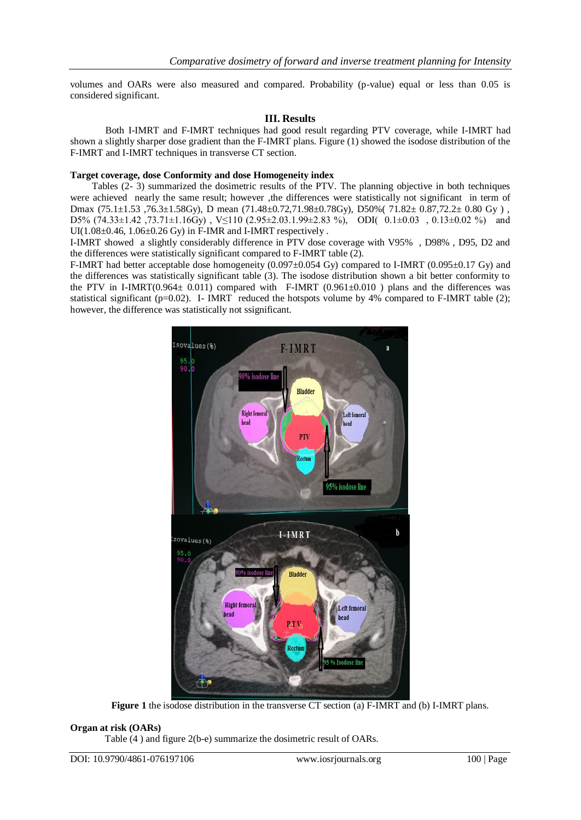volumes and OARs were also measured and compared. Probability (p-value) equal or less than 0.05 is considered significant.

## **III. Results**

Both I-IMRT and F-IMRT techniques had good result regarding PTV coverage, while I-IMRT had shown a slightly sharper dose gradient than the F-IMRT plans. Figure (1) showed the isodose distribution of the F-IMRT and I-IMRT techniques in transverse CT section.

#### **Target coverage, dose Conformity and dose Homogeneity index**

 Tables (2- 3) summarized the dosimetric results of the PTV. The planning objective in both techniques were achieved nearly the same result; however ,the differences were statistically not significant in term of Dmax (75.1±1.53 ,76.3±1.58Gy), D mean (71.48±0.72,71.98±0.78Gy), D50%( 71.82± 0.87,72.2± 0.80 Gy ) , D5%  $(74.33 \pm 1.42, 73.71 \pm 1.16$ Gy), V $\leq$ 110  $(2.95 \pm 2.03.1.99 \pm 2.83$ %), ODI( 0.1 $\pm$ 0.03, 0.13 $\pm$ 0.02 %) and  $UI(1.08\pm0.46, 1.06\pm0.26 \text{ Gy})$  in F-IMR and I-IMRT respectively.

I-IMRT showed a slightly considerably difference in PTV dose coverage with V95% , D98% , D95, D2 and the differences were statistically significant compared to F-IMRT table (2).

F-IMRT had better acceptable dose homogeneity  $(0.097\pm0.054 \text{ Gy})$  compared to I-IMRT  $(0.095\pm0.17 \text{ Gy})$  and the differences was statistically significant table (3). The isodose distribution shown a bit better conformity to the PTV in I-IMRT( $0.964 \pm 0.011$ ) compared with F-IMRT ( $0.961 \pm 0.010$ ) plans and the differences was statistical significant ( $p=0.02$ ). I- IMRT reduced the hotspots volume by 4% compared to F-IMRT table (2); however, the difference was statistically not ssignificant.



**Figure 1** the isodose distribution in the transverse CT section (a) F-IMRT and (b) I-IMRT plans.

#### **Organ at risk (OARs)**

Table (4 ) and figure 2(b-e) summarize the dosimetric result of OARs.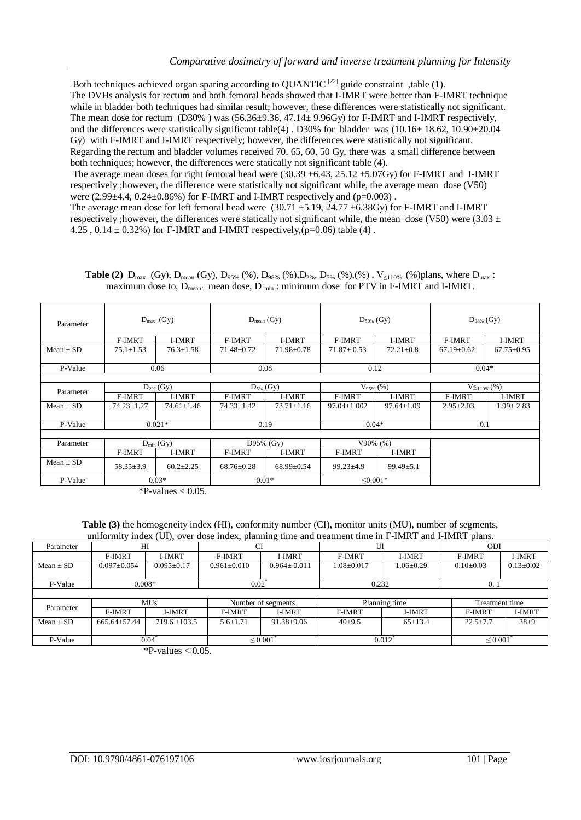Both techniques achieved organ sparing according to OUANTIC<sup>[22]</sup> guide constraint ,table (1). The DVHs analysis for rectum and both femoral heads showed that I-IMRT were better than F-IMRT technique while in bladder both techniques had similar result; however, these differences were statistically not significant. The mean dose for rectum (D30%) was (56.36±9.36, 47.14± 9.96Gy) for F-IMRT and I-IMRT respectively, and the differences were statistically significant table(4) . D30% for bladder was (10.16 $\pm$  18.62, 10.90 $\pm$ 20.04 Gy) with F-IMRT and I-IMRT respectively; however, the differences were statistically not significant. Regarding the rectum and bladder volumes received 70, 65, 60, 50 Gy, there was a small difference between both techniques; however, the differences were statically not significant table (4).

The average mean doses for right femoral head were  $(30.39 \pm 6.43, 25.12 \pm 5.07$  Gy for F-IMRT and I-IMRT respectively ;however, the difference were statistically not significant while, the average mean dose (V50) were  $(2.99 \pm 4.4, 0.24 \pm 0.86\%)$  for F-IMRT and I-IMRT respectively and (p=0.003).

The average mean dose for left femoral head were  $(30.71 \pm 5.19, 24.77 \pm 6.38$  Gy for F-IMRT and I-IMRT respectively ; however, the differences were statically not significant while, the mean dose (V50) were (3.03  $\pm$ 4.25,  $0.14 \pm 0.32\%$  for F-IMRT and I-IMRT respectively, (p=0.06) table (4).

| <b>Table (2)</b> $D_{max}$ (Gy), $D_{mean}$ (Gy), $D_{95\%}$ (%), $D_{98\%}$ (%), $D_{2\%}$ , $D_{5\%}$ (%), (%), $V_{\leq110\%}$ (%)plans, where $D_{max}$ : |                                                                                                 |  |  |  |  |
|---------------------------------------------------------------------------------------------------------------------------------------------------------------|-------------------------------------------------------------------------------------------------|--|--|--|--|
|                                                                                                                                                               | maximum dose to, $D_{mean}$ : mean dose, $D_{min}$ : minimum dose for PTV in F-IMRT and I-IMRT. |  |  |  |  |

| Parameter     | $D_{\text{max}}$ (Gy) |                  | $D_{mean}$ (Gy)  |                  | $D_{50\%}$ (Gy)   |                  | $D_{98\%}$ (Gy)     |                  |  |
|---------------|-----------------------|------------------|------------------|------------------|-------------------|------------------|---------------------|------------------|--|
|               | F-IMRT                | I-IMRT           | F-IMRT           | I-IMRT           | F-IMRT            | I-IMRT           | F-IMRT              | I-IMRT           |  |
| $Mean \pm SD$ | $75.1 \pm 1.53$       | $76.3 \pm 1.58$  | $71.48 \pm 0.72$ | $71.98 \pm 0.78$ | $71.87 \pm 0.53$  | $72.21 \pm 0.8$  | $67.19 \pm 0.62$    | $67.75 \pm 0.95$ |  |
| P-Value       |                       | 0.06             |                  | 0.08             |                   | 0.12             |                     | $0.04*$          |  |
|               |                       |                  |                  |                  |                   |                  |                     |                  |  |
| Parameter     | $D_{2\%}$ (Gy)        |                  | $D_{5\%}$ (Gy)   |                  | $V_{95\%}$ (%)    |                  | $V\leq_{110\%}($ %) |                  |  |
|               | F-IMRT                | I-IMRT           | F-IMRT           | I-IMRT           | F-IMRT            | <b>I-IMRT</b>    | F-IMRT              | I-IMRT           |  |
| $Mean \pm SD$ | $74.23 \pm 1.27$      | $74.61 \pm 1.46$ | $74.33 \pm 1.42$ | $73.71 \pm 1.16$ | $97.04 \pm 1.002$ | $97.64 \pm 1.09$ | $2.95 \pm 2.03$     | $1.99 \pm 2.83$  |  |
| P-Value       |                       | $0.021*$         | 0.19             |                  | $0.04*$           |                  | 0.1                 |                  |  |
|               |                       |                  |                  |                  |                   |                  |                     |                  |  |
| Parameter     |                       | $D_{min}(Gy)$    | D $95\%$ (Gy)    |                  | $V90\%$ (%)       |                  |                     |                  |  |
|               | F-IMRT                | I-IMRT           | F-IMRT           | I-IMRT           | F-IMRT            | I-IMRT           |                     |                  |  |
| Mean $\pm$ SD | $58.35 \pm 3.9$       | $60.2 \pm 2.25$  | $68.76 \pm 0.28$ | $68.99 \pm 0.54$ | $99.23 \pm 4.9$   | $99.49 \pm 5.1$  |                     |                  |  |
| P-Value       |                       | $0.03*$          |                  | $0.01*$          |                   | $\leq 0.001*$    |                     |                  |  |

 $*P$ -values  $< 0.05$ .

**Table (3)** the homogeneity index (HI), conformity number (CI), monitor units (MU), number of segments, uniformity index (UI), over dose index, planning time and treatment time in F-IMRT and I-IMRT plans.

| unformer moon (01), over dose moon, painting three area from the me in France and France pains. |                    |                   |                    |                   |                  |                 |                |                 |
|-------------------------------------------------------------------------------------------------|--------------------|-------------------|--------------------|-------------------|------------------|-----------------|----------------|-----------------|
| Parameter                                                                                       | ΗΙ                 |                   |                    |                   | UI               |                 | <b>ODI</b>     |                 |
|                                                                                                 | F-IMRT             | <b>I-IMRT</b>     | F-IMRT             | I-IMRT            | F-IMRT           | I-IMRT          | F-IMRT         | <b>I-IMRT</b>   |
| Mean $\pm$ SD                                                                                   | $0.097 \pm 0.054$  | $0.095 \pm 0.17$  | $0.961 \pm 0.010$  | $0.964 \pm 0.011$ | $1.08 \pm 0.017$ | $1.06 \pm 0.29$ | $0.10\pm0.03$  | $0.13 \pm 0.02$ |
|                                                                                                 |                    |                   |                    |                   |                  |                 |                |                 |
| P-Value                                                                                         | $0.008*$           |                   | 0.02               |                   | 0.232            |                 | 0.             |                 |
|                                                                                                 |                    |                   |                    |                   |                  |                 |                |                 |
| Parameter                                                                                       |                    | <b>MUs</b>        | Number of segments |                   | Planning time    |                 | Treatment time |                 |
|                                                                                                 | F-IMRT             | I-IMRT            | F-IMRT             | <b>I-IMRT</b>     | F-IMRT           | I-IMRT          | F-IMRT         | I-IMRT          |
| Mean $\pm$ SD                                                                                   | $665.64 \pm 57.44$ | $719.6 \pm 103.5$ | $5.6 \pm 1.71$     | $91.38 \pm 9.06$  | $40+9.5$         | $65 \pm 13.4$   | $22.5 \pm 7.7$ | $38+9$          |
|                                                                                                 |                    |                   |                    |                   |                  |                 |                |                 |
| P-Value                                                                                         |                    | 0.04              | ${}_{0.001}$       |                   | 0.012            |                 | $\leq 0.001$   |                 |

 $*P-values < 0.05$ .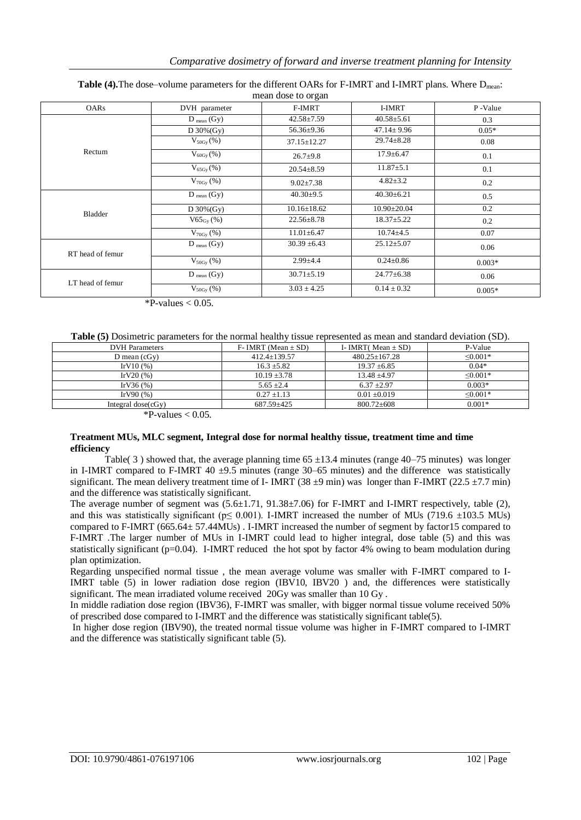| <b>OARs</b>      | DVH parameter             | F-IMRT            | I-IMRT            | P-Value  |
|------------------|---------------------------|-------------------|-------------------|----------|
|                  | $D_{mean}(Gy)$            | $42.58 \pm 7.59$  | $40.58 \pm 5.61$  | 0.3      |
|                  | D $30\%(Gy)$              | 56.36±9.36        | $47.14 \pm 9.96$  | $0.05*$  |
|                  | $V_{50Gy}(\% )$           | $37.15 \pm 12.27$ | $29.74 \pm 8.28$  | 0.08     |
| Rectum           | $V_{60Gy}(\% )$           | $26.7 + 9.8$      | $17.9 \pm 6.47$   | 0.1      |
|                  | $V_{65Gy}(\% )$           | $20.54 \pm 8.59$  | $11.87 \pm 5.1$   | 0.1      |
|                  | $V_{70Gy}$ (%)            | $9.02 \pm 7.38$   | $4.82 \pm 3.2$    | 0.2      |
|                  | $D_{mean}(Gy)$            | $40.30 \pm 9.5$   | $40.30 \pm 6.21$  | 0.5      |
| <b>Bladder</b>   | D $30\%(Gy)$              | $10.16 \pm 18.62$ | $10.90 \pm 20.04$ | 0.2      |
|                  | $V65_{Gy}$ (%)            | $22.56 \pm 8.78$  | $18.37 \pm 5.22$  | 0.2      |
|                  | $V_{70Gy}$ (%)            | $11.01 \pm 6.47$  | $10.74 \pm 4.5$   | 0.07     |
| RT head of femur | $D_{mean} (Gy)$           | $30.39 \pm 6.43$  | $25.12 \pm 5.07$  | 0.06     |
|                  | $V_{50Gy}(\% )$           | $2.99{\pm}4.4$    | $0.24 \pm 0.86$   | $0.003*$ |
| LT head of femur | $\overline{D_{mean}}(Gy)$ | $30.71 \pm 5.19$  | $24.77 \pm 6.38$  | 0.06     |
|                  | $V_{50Gy}$ (%)            | $3.03 \pm 4.25$   | $0.14 \pm 0.32$   | $0.005*$ |

#### **Table (4).**The dose–volume parameters for the different OARs for F-IMRT and I-IMRT plans. Where D<sub>mean</sub>: mean dose to organ

 $*P-values < 0.05$ .

#### **Table (5)** Dosimetric parameters for the normal healthy tissue represented as mean and standard deviation (SD).

| <b>DVH</b> Parameters | $F-IMRT$ (Mean $\pm$ SD) | I- IMRT(Mean $\pm$ SD) | P-Value       |
|-----------------------|--------------------------|------------------------|---------------|
| D mean $(cGy)$        | $412.4 \pm 139.57$       | $480.25 + 167.28$      | ≤0.001*       |
| IrV $10(%)$           | $16.3 \pm 5.82$          | $19.37 \pm 6.85$       | $0.04*$       |
| IrV20 $(% )$          | $10.19 + 3.78$           | $13.48 + 4.97$         | $\leq 0.001*$ |
| IrV36 $(%)$           | $5.65 \pm 2.4$           | $6.37 + 2.97$          | $0.003*$      |
| IrV90 $(%)$           | $0.27 \pm 1.13$          | $0.01 + 0.019$         | $\leq 0.001*$ |
| Integral $dose(cGv)$  | 687.59±425               | $800.72 \pm 608$       | $0.001*$      |
|                       |                          |                        |               |

 $\overline{\text{P}-\text{values}}$  < 0.05.

#### **Treatment MUs, MLC segment, Integral dose for normal healthy tissue, treatment time and time efficiency**

Table( 3) showed that, the average planning time  $65 \pm 13.4$  minutes (range 40–75 minutes) was longer in I-IMRT compared to F-IMRT 40  $\pm$ 9.5 minutes (range 30–65 minutes) and the difference was statistically significant. The mean delivery treatment time of I- IMRT (38  $\pm$ 9 min) was longer than F-IMRT (22.5  $\pm$ 7.7 min) and the difference was statistically significant.

The average number of segment was (5.6±1.71, 91.38±7.06) for F-IMRT and I-IMRT respectively, table (2), and this was statistically significant ( $p \le 0.001$ ). I-IMRT increased the number of MUs (719.6  $\pm$ 103.5 MUs) compared to F-IMRT (665.64± 57.44MUs) . I-IMRT increased the number of segment by factor15 compared to F-IMRT .The larger number of MUs in I-IMRT could lead to higher integral, dose table (5) and this was statistically significant ( $p=0.04$ ). I-IMRT reduced the hot spot by factor 4% owing to beam modulation during plan optimization.

Regarding unspecified normal tissue , the mean average volume was smaller with F-IMRT compared to I-IMRT table (5) in lower radiation dose region (IBV10, IBV20 ) and, the differences were statistically significant. The mean irradiated volume received 20Gy was smaller than 10 Gy .

In middle radiation dose region (IBV36), F-IMRT was smaller, with bigger normal tissue volume received 50% of prescribed dose compared to I-IMRT and the difference was statistically significant table(5).

In higher dose region (IBV90), the treated normal tissue volume was higher in F-IMRT compared to I-IMRT and the difference was statistically significant table (5).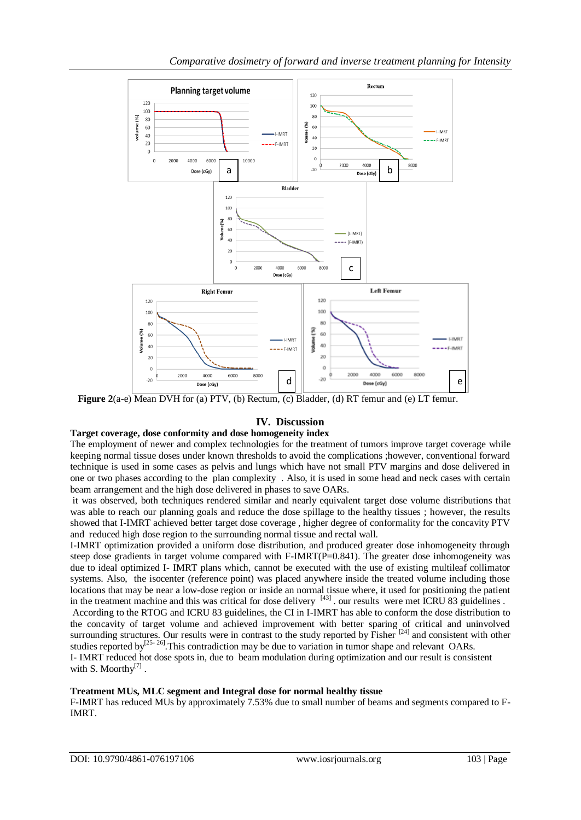

**Figure 2**(a-e) Mean DVH for (a) PTV, (b) Rectum, (c) Bladder, (d) RT femur and (e) LT femur.

# **IV. Discussion**

#### **Target coverage, dose conformity and dose homogeneity index**

The employment of newer and complex technologies for the treatment of tumors improve target coverage while keeping normal tissue doses under known thresholds to avoid the complications ;however, conventional forward technique is used in some cases as pelvis and lungs which have not small PTV margins and dose delivered in one or two phases according to the plan complexity . Also, it is used in some head and neck cases with certain beam arrangement and the high dose delivered in phases to save OARs.

it was observed, both techniques rendered similar and nearly equivalent target dose volume distributions that was able to reach our planning goals and reduce the dose spillage to the healthy tissues ; however, the results showed that I-IMRT achieved better target dose coverage , higher degree of conformality for the concavity PTV and reduced high dose region to the surrounding normal tissue and rectal wall.

I-IMRT optimization provided a uniform dose distribution, and produced greater dose inhomogeneity through steep dose gradients in target volume compared with F-IMRT(P=0.841). The greater dose inhomogeneity was due to ideal optimized I- IMRT plans which, cannot be executed with the use of existing multileaf collimator systems. Also, the isocenter (reference point) was placed anywhere inside the treated volume including those locations that may be near a low-dose region or inside an normal tissue where, it used for positioning the patient in the treatment machine and this was critical for dose delivery [43] . our results were met ICRU 83 guidelines .

According to the RTOG and ICRU 83 guidelines, the CI in I-IMRT has able to conform the dose distribution to the concavity of target volume and achieved improvement with better sparing of critical and uninvolved surrounding structures. Our results were in contrast to the study reported by Fisher  $[24]$  and consistent with other studies reported by<sup>[25-26]</sup>. This contradiction may be due to variation in tumor shape and relevant OARs.

I- IMRT reduced hot dose spots in, due to beam modulation during optimization and our result is consistent with S. Moorthy $^{[7]}$ .

# **Treatment MUs, MLC segment and Integral dose for normal healthy tissue**

F-IMRT has reduced MUs by approximately 7.53% due to small number of beams and segments compared to F-IMRT.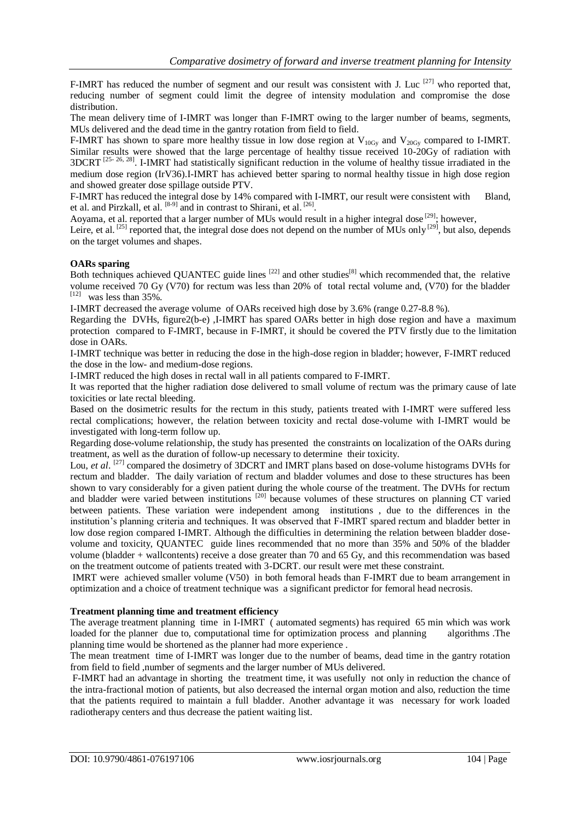F-IMRT has reduced the number of segment and our result was consistent with J. Luc  $[27]$  who reported that, reducing number of segment could limit the degree of intensity modulation and compromise the dose distribution.

The mean delivery time of I-IMRT was longer than F-IMRT owing to the larger number of beams, segments, MUs delivered and the dead time in the gantry rotation from field to field.

F-IMRT has shown to spare more healthy tissue in low dose region at  $V_{10Gy}$  and  $V_{20Gy}$  compared to I-IMRT. Similar results were showed that the large percentage of healthy tissue received 10-20Gy of radiation with  $3DCRT$ <sup>[25-26, 28]</sup>. I-IMRT had statistically significant reduction in the volume of healthy tissue irradiated in the medium dose region (IrV36).I-IMRT has achieved better sparing to normal healthy tissue in high dose region and showed greater dose spillage outside PTV.

F-IMRT has reduced the integral dose by 14% compared with I-IMRT, our result were consistent with Bland, et al. and Pirzkall, et al.  $[8-9]$  and in contrast to Shirani, et al.  $[26]$ .

Aoyama, et al. reported that a larger number of MUs would result in a higher integral dose [29], however,

Leire, et al.  $^{[25]}$  reported that, the integral dose does not depend on the number of MUs only  $^{[29]}$ , but also, depends on the target volumes and shapes.

## **OARs sparing**

Both techniques achieved QUANTEC guide lines <sup>[22]</sup> and other studies<sup>[8]</sup> which recommended that, the relative volume received 70 Gy (V70) for rectum was less than 20% of total rectal volume and, (V70) for the bladder  $[12]$  was less than 35%.

I-IMRT decreased the average volume of OARs received high dose by 3.6% (range 0.27-8.8 %).

Regarding the DVHs, figure2(b-e) ,I-IMRT has spared OARs better in high dose region and have a maximum protection compared to F-IMRT, because in F-IMRT, it should be covered the PTV firstly due to the limitation dose in OARs.

I-IMRT technique was better in reducing the dose in the high-dose region in bladder; however, F-IMRT reduced the dose in the low- and medium-dose regions.

I-IMRT reduced the high doses in rectal wall in all patients compared to F-IMRT.

It was reported that the higher radiation dose delivered to small volume of rectum was the primary cause of late toxicities or late rectal bleeding.

Based on the dosimetric results for the rectum in this study, patients treated with I-IMRT were suffered less rectal complications; however, the relation between toxicity and rectal dose-volume with I-IMRT would be investigated with long-term follow up.

Regarding dose-volume relationship, the study has presented the constraints on localization of the OARs during treatment, as well as the duration of follow-up necessary to determine their toxicity.

Lou, *et al.* <sup>[27]</sup> compared the dosimetry of 3DCRT and IMRT plans based on dose-volume histograms DVHs for rectum and bladder. The daily variation of rectum and bladder volumes and dose to these structures has been shown to vary considerably for a given patient during the whole course of the treatment. The DVHs for rectum and bladder were varied between institutions <sup>[20]</sup> because volumes of these structures on planning CT varied between patients. These variation were independent among institutions , due to the differences in the institution's planning criteria and techniques. It was observed that F-IMRT spared rectum and bladder better in low dose region compared I-IMRT. Although the difficulties in determining the relation between bladder dosevolume and toxicity, QUANTEC guide lines recommended that no more than 35% and 50% of the bladder volume (bladder + wallcontents) receive a dose greater than 70 and 65 Gy, and this recommendation was based on the treatment outcome of patients treated with 3-DCRT. our result were met these constraint.

IMRT were achieved smaller volume (V50) in both femoral heads than F-IMRT due to beam arrangement in optimization and a choice of treatment technique was a significant predictor for femoral head necrosis.

#### **Treatment planning time and treatment efficiency**

The average treatment planning time in I-IMRT ( automated segments) has required 65 min which was work loaded for the planner due to, computational time for optimization process and planning algorithms .The planning time would be shortened as the planner had more experience .

The mean treatment time of I-IMRT was longer due to the number of beams, dead time in the gantry rotation from field to field ,number of segments and the larger number of MUs delivered.

F-IMRT had an advantage in shorting the treatment time, it was usefully not only in reduction the chance of the intra-fractional motion of patients, but also decreased the internal organ motion and also, reduction the time that the patients required to maintain a full bladder. Another advantage it was necessary for work loaded radiotherapy centers and thus decrease the patient waiting list.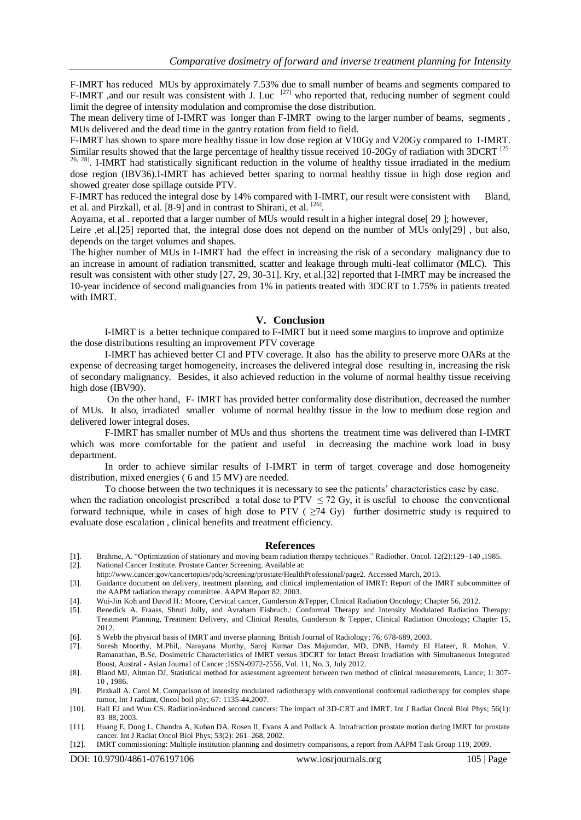F-IMRT has reduced MUs by approximately 7.53% due to small number of beams and segments compared to F-IMRT ,and our result was consistent with J. Luc  $[27]$  who reported that, reducing number of segment could limit the degree of intensity modulation and compromise the dose distribution.

The mean delivery time of I-IMRT was longer than F-IMRT owing to the larger number of beams, segments , MUs delivered and the dead time in the gantry rotation from field to field.

F-IMRT has shown to spare more healthy tissue in low dose region at V10Gy and V20Gy compared to I-IMRT. Similar results showed that the large percentage of healthy tissue received 10-20Gy of radiation with 3DCRT [25-

 $26, 28$ ]. I-IMRT had statistically significant reduction in the volume of healthy tissue irradiated in the medium dose region (IBV36).I-IMRT has achieved better sparing to normal healthy tissue in high dose region and showed greater dose spillage outside PTV.

F-IMRT has reduced the integral dose by 14% compared with I-IMRT, our result were consistent with Bland, et al. and Pirzkall, et al. [8-9] and in contrast to Shirani, et al. <sup>[26]</sup>.

Aoyama, et al . reported that a larger number of MUs would result in a higher integral dose[ 29 ]; however,

Leire ,et al.[25] reported that, the integral dose does not depend on the number of MUs only[29], but also, depends on the target volumes and shapes.

The higher number of MUs in I-IMRT had the effect in increasing the risk of a secondary malignancy due to an increase in amount of radiation transmitted, scatter and leakage through multi-leaf collimator (MLC). This result was consistent with other study [27, 29, 30-31]. Kry, et al.[32] reported that I-IMRT may be increased the 10-year incidence of second malignancies from 1% in patients treated with 3DCRT to 1.75% in patients treated with IMRT.

#### **V. Conclusion**

I-IMRT is a better technique compared to F-IMRT but it need some margins to improve and optimize the dose distributions resulting an improvement PTV coverage

I-IMRT has achieved better CI and PTV coverage. It also has the ability to preserve more OARs at the expense of decreasing target homogeneity, increases the delivered integral dose resulting in, increasing the risk of secondary malignancy. Besides, it also achieved reduction in the volume of normal healthy tissue receiving high dose (IBV90).

On the other hand, F- IMRT has provided better conformality dose distribution, decreased the number of MUs. It also, irradiated smaller volume of normal healthy tissue in the low to medium dose region and delivered lower integral doses.

F-IMRT has smaller number of MUs and thus shortens the treatment time was delivered than I-IMRT which was more comfortable for the patient and useful in decreasing the machine work load in busy department.

In order to achieve similar results of I-IMRT in term of target coverage and dose homogeneity distribution, mixed energies ( 6 and 15 MV) are needed.

To choose between the two techniques it is necessary to see the patients' characteristics case by case. when the radiation oncologist prescribed a total dose to PTV  $\leq$  72 Gy, it is useful to choose the conventional forward technique, while in cases of high dose to PTV ( $\geq$ 74 Gy) further dosimetric study is required to

#### **References**

- [1]. Brahme, A. "Optimization of stationary and moving beam radiation therapy techniques." Radiother. Oncol. 12(2):129–140 ,1985. [2]. National Cancer Institute. Prostate Cancer Screening. Available at:
- http://www.cancer.gov/cancertopics/pdq/screening/prostate/HealthProfessional/page2. Accessed March, 2013.

evaluate dose escalation , clinical benefits and treatment efficiency.

- [3]. Guidance document on delivery, treatment planning, and clinical implementation of IMRT: Report of the IMRT subcommittee of the AAPM radiation therapy committee. AAPM Report 82, 2003.
- [4]. Wui-Jin Koh and David H.: Moore, Cervical cancer, Gunderson &Tepper, Clinical Radiation Oncology; Chapter 56, 2012.
- [5]. Benedick A. Fraass, Shruti Jolly, and Avraham Eisbruch.: Conformal Therapy and Intensity Modulated Radiation Therapy: Treatment Planning, Treatment Delivery, and Clinical Results, Gunderson & Tepper, Clinical Radiation Oncology; Chapter 15, 2012.
- [6]. S Webb the physical basis of IMRT and inverse planning. British Journal of Radiology; 76; 678-689, 2003.
- [7]. Suresh Moorthy, M.Phil,. Narayana Murthy, Saroj Kumar Das Majumdar, MD, DNB, Hamdy El Hateer, R. Mohan, V. Ramanathan, B.Sc, Dosimetric Characteristics of IMRT versus 3DCRT for Intact Breast Irradiation with Simultaneous Integrated Boost, Austral - Asian Journal of Cancer ;ISSN-0972-2556, Vol. 11, No. 3, July 2012.
- [8]. Bland MJ, Altman DJ, Statistical method for assessment agreement between two method of clinical measurements, Lance; 1: 307- 10 1986
- [9]. Pirzkall A. Carol M, Comparison of intensity modulated radiotherapy with conventional conformal radiotherapy for complex shape tumor, Int J radiant, Oncol boil phy; 67: 1135-44,2007.
- [10]. Hall EJ and Wuu CS. Radiation-induced second cancers: The impact of 3D-CRT and IMRT. Int J Radiat Oncol Biol Phys; 56(1): 83–88, 2003.
- [11]. Huang E, Dong L, Chandra A, Kuban DA, Rosen II, Evans A and Pollack A. Intrafraction prostate motion during IMRT for prostate cancer. Int J Radiat Oncol Biol Phys; 53(2): 261–268, 2002.
- [12]. IMRT commissioning: Multiple institution planning and dosimetry comparisons, a report from AAPM Task Group 119, 2009.

DOI: 10.9790/4861-076197106 www.iosrjournals.org 105 | Page